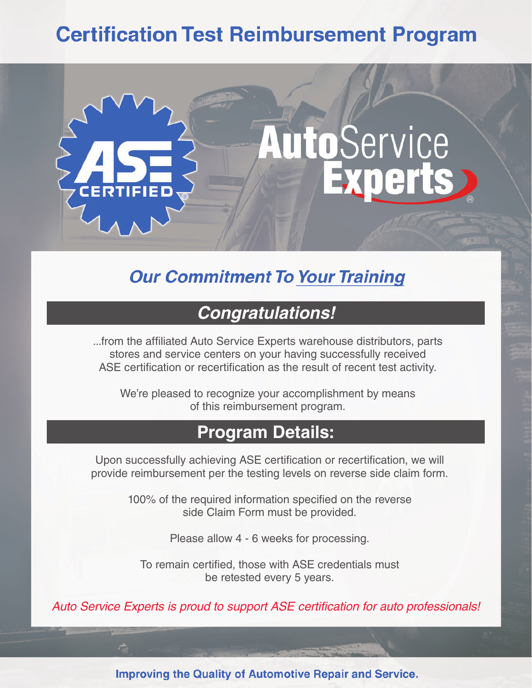# **Certification Test Reimbursement Program**



## **Our Commitment To Your Training**

### **Congratulations!**

...from the affiliated Auto Service Experts warehouse distributors, parts stores and service centers on your having successfully received ASE certification or recertification as the result of recent test activity.

We're pleased to recognize your accomplishment by means of this reimbursement program.

### **Program Details:**

Upon successfully achieving ASE certification or recertification, we will provide reimbursement per the testing levels on reverse side claim form.

> 100% of the required information specified on the reverse side Claim Form must be provided.

> > Please allow 4 - 6 weeks for processing.

To remain certified, those with ASE credentials must be retested every 5 years.

Auto Service Experts is proud to support ASE certification for auto professionals!

**Improving the Quality of Automotive Repair and Service.**